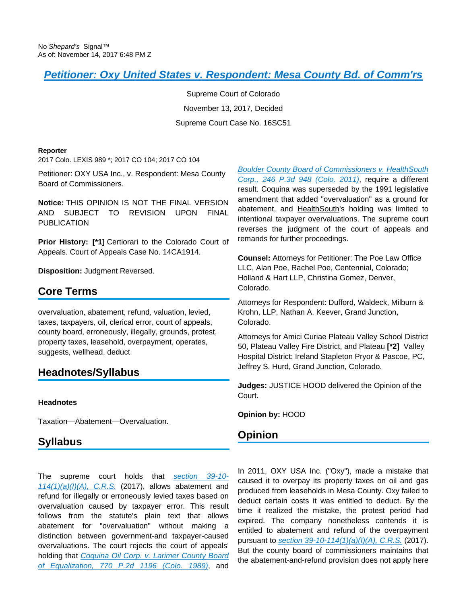# **[Petitioner: Oxy United States v. Respondent: Mesa County Bd. of Comm'rs](https://advance.lexis.com/api/document?collection=cases&id=urn:contentItem:5PY6-B2P1-F81W-245P-00000-00&context=)**

Supreme Court of Colorado November 13, 2017, Decided Supreme Court Case No. 16SC51

#### **Reporter**

2017 Colo. LEXIS 989 \*; 2017 CO 104; 2017 CO 104

Petitioner: OXY USA Inc., v. Respondent: Mesa County Board of Commissioners.

**Notice:** THIS OPINION IS NOT THE FINAL VERSION AND SUBJECT TO REVISION UPON FINAL PUBLICATION

**Prior History: [\*1] Certiorari to the Colorado Court of** Appeals. Court of Appeals Case No. 14CA1914.

**Disposition:** Judgment Reversed.

## **Core Terms**

overvaluation, abatement, refund, valuation, levied, taxes, taxpayers, oil, clerical error, court of appeals, county board, erroneously, illegally, grounds, protest, property taxes, leasehold, overpayment, operates, suggests, wellhead, deduct

# **Headnotes/Syllabus**

### **Headnotes**

Taxation—Abatement—Overvaluation.

## **Syllabus**

The supreme court holds that [section 39-10-](https://advance.lexis.com/api/document?collection=statutes-legislation&id=urn:contentItem:5PC1-8680-004D-10T8-00000-00&context=)  $114(1)(a)(I)/A$ , C.R.S. (2017), allows abatement and refund for illegally or erroneously levied taxes based on overvaluation caused by taxpayer error. This result follows from the statute's plain text that allows abatement for "overvaluation" without making a distinction between government-and taxpayer-caused overvaluations. The court rejects the court of appeals' holding that [Coquina Oil Corp. v. Larimer County Board](https://advance.lexis.com/api/document?collection=cases&id=urn:contentItem:3RX4-0X10-003D-94FH-00000-00&context=)  [of Equalization, 770 P.2d 1196 \(Colo. 1989\)](https://advance.lexis.com/api/document?collection=cases&id=urn:contentItem:3RX4-0X10-003D-94FH-00000-00&context=), and

[Boulder County Board of Commissioners v. HealthSouth](https://advance.lexis.com/api/document?collection=cases&id=urn:contentItem:522S-JWW1-652G-H004-00000-00&context=)  [Corp., 246 P.3d 948 \(Colo. 2011\)](https://advance.lexis.com/api/document?collection=cases&id=urn:contentItem:522S-JWW1-652G-H004-00000-00&context=), require a different result. Coquina was superseded by the 1991 legislative amendment that added "overvaluation" as a ground for abatement, and HealthSouth's holding was limited to intentional taxpayer overvaluations. The supreme court reverses the judgment of the court of appeals and remands for further proceedings.

**Counsel:** Attorneys for Petitioner: The Poe Law Office LLC, Alan Poe, Rachel Poe, Centennial, Colorado; Holland & Hart LLP, Christina Gomez, Denver, Colorado.

Attorneys for Respondent: Dufford, Waldeck, Milburn & Krohn, LLP, Nathan A. Keever, Grand Junction, Colorado.

Attorneys for Amici Curiae Plateau Valley School District 50, Plateau Valley Fire District, and Plateau **[\*2]** Valley Hospital District: Ireland Stapleton Pryor & Pascoe, PC, Jeffrey S. Hurd, Grand Junction, Colorado.

**Judges:** JUSTICE HOOD delivered the Opinion of the Court.

**Opinion by:** HOOD

## **Opinion**

In 2011, OXY USA Inc. ("Oxy"), made a mistake that caused it to overpay its property taxes on oil and gas produced from leaseholds in Mesa County. Oxy failed to deduct certain costs it was entitled to deduct. By the time it realized the mistake, the protest period had expired. The company nonetheless contends it is entitled to abatement and refund of the overpayment pursuant to [section 39-10-114\(1\)\(a\)\(I\)\(A\), C.R.S.](https://advance.lexis.com/api/document?collection=statutes-legislation&id=urn:contentItem:5PC1-8680-004D-10T8-00000-00&context=) (2017). But the county board of commissioners maintains that the abatement-and-refund provision does not apply here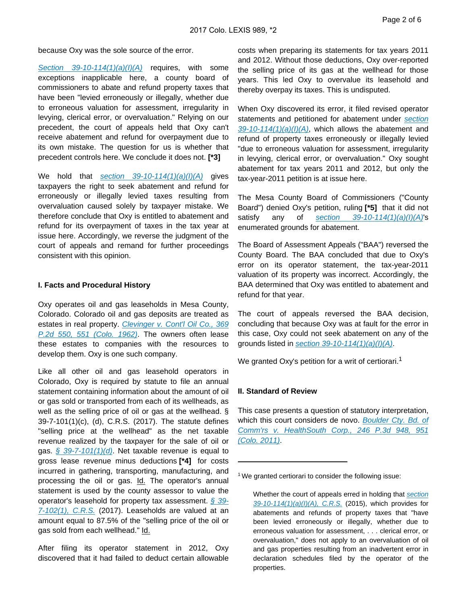because Oxy was the sole source of the error.

Section  $39-10-114(1)(a)(I)/A$  requires, with some exceptions inapplicable here, a county board of commissioners to abate and refund property taxes that have been "levied erroneously or illegally, whether due to erroneous valuation for assessment, irregularity in levying, clerical error, or overvaluation." Relying on our precedent, the court of appeals held that Oxy can't receive abatement and refund for overpayment due to its own mistake. The question for us is whether that precedent controls here. We conclude it does not. **[\*3]** 

We hold that section  $39-10-114(1)(a)(I)/A$  gives taxpayers the right to seek abatement and refund for erroneously or illegally levied taxes resulting from overvaluation caused solely by taxpayer mistake. We therefore conclude that Oxy is entitled to abatement and refund for its overpayment of taxes in the tax year at issue here. Accordingly, we reverse the judgment of the court of appeals and remand for further proceedings consistent with this opinion.

#### **I. Facts and Procedural History**

Oxy operates oil and gas leaseholds in Mesa County, Colorado. Colorado oil and gas deposits are treated as estates in real property. Clevinger v. Cont'l Oil Co., 369 [P.2d 550, 551 \(Colo. 1962\)](https://advance.lexis.com/api/document?collection=cases&id=urn:contentItem:3RRM-WWC0-0040-00VG-00000-00&context=). The owners often lease these estates to companies with the resources to develop them. Oxy is one such company.

Like all other oil and gas leasehold operators in Colorado, Oxy is required by statute to file an annual statement containing information about the amount of oil or gas sold or transported from each of its wellheads, as well as the selling price of oil or gas at the wellhead. § 39-7-101(1)(c), (d), C.R.S. (2017). The statute defines "selling price at the wellhead" as the net taxable revenue realized by the taxpayer for the sale of oil or gas.  $\frac{6}{9}$  39-7-101(1)(d). Net taxable revenue is equal to gross lease revenue minus deductions **[\*4]** for costs incurred in gathering, transporting, manufacturing, and processing the oil or gas. Id. The operator's annual statement is used by the county assessor to value the operator's leasehold for property tax assessment. [§ 39-](https://advance.lexis.com/api/document?collection=statutes-legislation&id=urn:contentItem:5PC1-8680-004D-10RK-00000-00&context=)  $7-102(1)$ , C.R.S. (2017). Leaseholds are valued at an amount equal to 87.5% of the "selling price of the oil or gas sold from each wellhead." Id.

After filing its operator statement in 2012, Oxy discovered that it had failed to deduct certain allowable costs when preparing its statements for tax years 2011 and 2012. Without those deductions, Oxy over-reported the selling price of its gas at the wellhead for those years. This led Oxy to overvalue its leasehold and thereby overpay its taxes. This is undisputed.

When Oxy discovered its error, it filed revised operator statements and petitioned for abatement under section  $39-10-114(1)(a)(I)(A)$ , which allows the abatement and refund of property taxes erroneously or illegally levied "due to erroneous valuation for assessment, irregularity in levying, clerical error, or overvaluation." Oxy sought abatement for tax years 2011 and 2012, but only the tax-year-2011 petition is at issue here.

The Mesa County Board of Commissioners ("County Board") denied Oxy's petition, ruling **[\*5]** that it did not satisfy any of section  $39-10-114(1)(a)(1)(A)$ 's enumerated grounds for abatement.

The Board of Assessment Appeals ("BAA") reversed the County Board. The BAA concluded that due to Oxy's error on its operator statement, the tax-year-2011 valuation of its property was incorrect. Accordingly, the BAA determined that Oxy was entitled to abatement and refund for that year.

The court of appeals reversed the BAA decision, concluding that because Oxy was at fault for the error in this case, Oxy could not seek abatement on any of the grounds listed in section  $39-10-114(1)(a)(l)(A)$ .

We granted Oxy's petition for a writ of certiorari.<sup>1</sup>

#### **II. Standard of Review**

This case presents a question of statutory interpretation, which this court considers de novo. Boulder Cty. Bd. of [Comm'rs v. HealthSouth Corp., 246 P.3d 948, 951](https://advance.lexis.com/api/document?collection=cases&id=urn:contentItem:522S-JWW1-652G-H004-00000-00&context=)  [\(Colo. 2011\)](https://advance.lexis.com/api/document?collection=cases&id=urn:contentItem:522S-JWW1-652G-H004-00000-00&context=).

<sup>&</sup>lt;sup>1</sup> We granted certiorari to consider the following issue:

Whether the court of appeals erred in holding that section  $39-10-114(1)(a)(I)(A), C.R.S.$  (2015), which provides for abatements and refunds of property taxes that "have been levied erroneously or illegally, whether due to erroneous valuation for assessment, . . . clerical error, or overvaluation," does not apply to an overvaluation of oil and gas properties resulting from an inadvertent error in declaration schedules filed by the operator of the properties.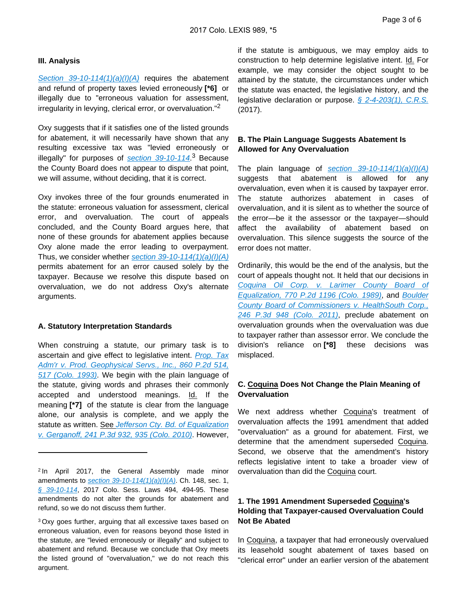#### **III. Analysis**

[Section 39-10-114\(1\)\(a\)\(I\)\(A\)](https://advance.lexis.com/api/document?collection=statutes-legislation&id=urn:contentItem:5PC1-8680-004D-10T8-00000-00&context=) requires the abatement and refund of property taxes levied erroneously **[\*6]** or illegally due to "erroneous valuation for assessment, irregularity in levying, clerical error, or overvaluation."<sup>2</sup>

Oxy suggests that if it satisfies one of the listed grounds for abatement, it will necessarily have shown that any resulting excessive tax was "levied erroneously or illegally" for purposes of **[section 39-10-114](https://advance.lexis.com/api/document?collection=statutes-legislation&id=urn:contentItem:5PC1-8680-004D-10T8-00000-00&context=).**<sup>3</sup> Because the County Board does not appear to dispute that point, we will assume, without deciding, that it is correct.

Oxy invokes three of the four grounds enumerated in the statute: erroneous valuation for assessment, clerical error, and overvaluation. The court of appeals concluded, and the County Board argues here, that none of these grounds for abatement applies because Oxy alone made the error leading to overpayment. Thus, we consider whether section  $39-10-114(1)(a)(I)(A)$ permits abatement for an error caused solely by the taxpayer. Because we resolve this dispute based on overvaluation, we do not address Oxy's alternate arguments.

#### **A. Statutory Interpretation Standards**

When construing a statute, our primary task is to ascertain and give effect to legislative intent. Prop. Tax [Adm'r v. Prod. Geophysical Servs., Inc., 860 P.2d 514,](https://advance.lexis.com/api/document?collection=cases&id=urn:contentItem:3RX4-0850-003D-94FW-00000-00&context=)  [517 \(Colo. 1993\)](https://advance.lexis.com/api/document?collection=cases&id=urn:contentItem:3RX4-0850-003D-94FW-00000-00&context=). We begin with the plain language of the statute, giving words and phrases their commonly accepted and understood meanings. Id. If the meaning **[\*7]** of the statute is clear from the language alone, our analysis is complete, and we apply the statute as written. See Jefferson Cty. Bd. of Equalization [v. Gerganoff, 241 P.3d 932, 935 \(Colo. 2010\)](https://advance.lexis.com/api/document?collection=cases&id=urn:contentItem:51DW-1VH1-652G-H002-00000-00&context=). However,

if the statute is ambiguous, we may employ aids to construction to help determine legislative intent. Id. For example, we may consider the object sought to be attained by the statute, the circumstances under which the statute was enacted, the legislative history, and the legislative declaration or purpose.  $$2-4-203(1), C.R.S.$ (2017).

### **B. The Plain Language Suggests Abatement Is Allowed for Any Overvaluation**

The plain language of section  $39-10-114(1)(a)(I)(A)$ suggests that abatement is allowed for any overvaluation, even when it is caused by taxpayer error. The statute authorizes abatement in cases of overvaluation, and it is silent as to whether the source of the error—be it the assessor or the taxpayer—should affect the availability of abatement based on overvaluation. This silence suggests the source of the error does not matter.

Ordinarily, this would be the end of the analysis, but the court of appeals thought not. It held that our decisions in [Coquina Oil Corp. v. Larimer County Board of](https://advance.lexis.com/api/document?collection=cases&id=urn:contentItem:3RX4-0X10-003D-94FH-00000-00&context=)  [Equalization, 770 P.2d 1196 \(Colo. 1989\)](https://advance.lexis.com/api/document?collection=cases&id=urn:contentItem:3RX4-0X10-003D-94FH-00000-00&context=), and [Boulder](https://advance.lexis.com/api/document?collection=cases&id=urn:contentItem:522S-JWW1-652G-H004-00000-00&context=)  [County Board of Commissioners v. HealthSouth Corp.,](https://advance.lexis.com/api/document?collection=cases&id=urn:contentItem:522S-JWW1-652G-H004-00000-00&context=)  [246 P.3d 948 \(Colo. 2011\)](https://advance.lexis.com/api/document?collection=cases&id=urn:contentItem:522S-JWW1-652G-H004-00000-00&context=), preclude abatement on overvaluation grounds when the overvaluation was due to taxpayer rather than assessor error. We conclude the division's reliance on **[\*8]** these decisions was misplaced.

### **C. Coquina Does Not Change the Plain Meaning of Overvaluation**

We next address whether Coquina's treatment of overvaluation affects the 1991 amendment that added "overvaluation" as a ground for abatement. First, we determine that the amendment superseded Coquina. Second, we observe that the amendment's history reflects legislative intent to take a broader view of overvaluation than did the Coquina court.

### **1. The 1991 Amendment Superseded Coquina's Holding that Taxpayer-caused Overvaluation Could Not Be Abated**

In Coquina, a taxpayer that had erroneously overvalued its leasehold sought abatement of taxes based on "clerical error" under an earlier version of the abatement

<sup>2</sup>In April 2017, the General Assembly made minor amendments to [section 39-10-114\(1\)\(a\)\(I\)\(A\)](https://advance.lexis.com/api/document?collection=statutes-legislation&id=urn:contentItem:5PC1-8680-004D-10T8-00000-00&context=). Ch. 148, sec. 1, [§ 39-10-114](https://advance.lexis.com/api/document?collection=statutes-legislation&id=urn:contentItem:5PC1-8680-004D-10T8-00000-00&context=), 2017 Colo. Sess. Laws 494, 494-95. These amendments do not alter the grounds for abatement and refund, so we do not discuss them further.

<sup>3</sup>Oxy goes further, arguing that all excessive taxes based on erroneous valuation, even for reasons beyond those listed in the statute, are "levied erroneously or illegally" and subject to abatement and refund. Because we conclude that Oxy meets the listed ground of "overvaluation," we do not reach this argument.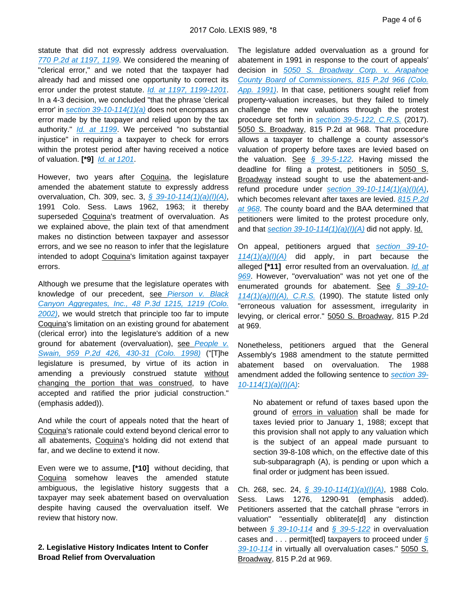statute that did not expressly address overvaluation. [770 P.2d at 1197, 1199](https://advance.lexis.com/api/document?collection=cases&id=urn:contentItem:3RX4-0X10-003D-94FH-00000-00&context=). We considered the meaning of "clerical error," and we noted that the taxpayer had already had and missed one opportunity to correct its error under the protest statute. [Id. at 1197, 1199-1201](https://advance.lexis.com/api/document?collection=cases&id=urn:contentItem:3RX4-0X10-003D-94FH-00000-00&context=). In a 4-3 decision, we concluded "that the phrase 'clerical error' in [section 39-10-114\(1\)\(a\)](https://advance.lexis.com/api/document?collection=statutes-legislation&id=urn:contentItem:5PC1-8680-004D-10T8-00000-00&context=) does not encompass an error made by the taxpayer and relied upon by the tax authority." *[Id. at 1199](https://advance.lexis.com/api/document?collection=cases&id=urn:contentItem:3RX4-0X10-003D-94FH-00000-00&context=)*. We perceived "no substantial injustice" in requiring a taxpayer to check for errors within the protest period after having received a notice of valuation. **[\*9]** [Id. at 1201](https://advance.lexis.com/api/document?collection=cases&id=urn:contentItem:3RX4-0X10-003D-94FH-00000-00&context=).

However, two years after Coquina, the legislature amended the abatement statute to expressly address overvaluation, Ch. 309, sec. 3, [§ 39-10-114\(1\)\(a\)\(I\)\(A\)](https://advance.lexis.com/api/document?collection=statutes-legislation&id=urn:contentItem:5PC1-8680-004D-10T8-00000-00&context=), 1991 Colo. Sess. Laws 1962, 1963; it thereby superseded Coquina's treatment of overvaluation. As we explained above, the plain text of that amendment makes no distinction between taxpayer and assessor errors, and we see no reason to infer that the legislature intended to adopt Coquina's limitation against taxpayer errors.

Although we presume that the legislature operates with knowledge of our precedent, see Pierson v. Black [Canyon Aggregates, Inc., 48 P.3d 1215, 1219 \(Colo.](https://advance.lexis.com/api/document?collection=cases&id=urn:contentItem:45WR-HWT0-0039-40CX-00000-00&context=)  [2002\)](https://advance.lexis.com/api/document?collection=cases&id=urn:contentItem:45WR-HWT0-0039-40CX-00000-00&context=), we would stretch that principle too far to impute Coquina's limitation on an existing ground for abatement (clerical error) into the legislature's addition of a new ground for abatement (overvaluation), see People v. [Swain, 959 P.2d 426, 430-31 \(Colo. 1998\)](https://advance.lexis.com/api/document?collection=cases&id=urn:contentItem:3ST1-W290-0039-42SD-00000-00&context=) ("[T]he legislature is presumed, by virtue of its action in amending a previously construed statute without changing the portion that was construed, to have accepted and ratified the prior judicial construction." (emphasis added)).

And while the court of appeals noted that the heart of Coquina's rationale could extend beyond clerical error to all abatements, Coquina's holding did not extend that far, and we decline to extend it now.

Even were we to assume, **[\*10]** without deciding, that Coquina somehow leaves the amended statute ambiguous, the legislative history suggests that a taxpayer may seek abatement based on overvaluation despite having caused the overvaluation itself. We review that history now.

### **2. Legislative History Indicates Intent to Confer Broad Relief from Overvaluation**

The legislature added overvaluation as a ground for abatement in 1991 in response to the court of appeals' decision in [5050 S. Broadway Corp. v. Arapahoe](https://advance.lexis.com/api/document?collection=cases&id=urn:contentItem:3RX4-2WT0-003D-904X-00000-00&context=)  [County Board of Commissioners, 815 P.2d 966 \(Colo.](https://advance.lexis.com/api/document?collection=cases&id=urn:contentItem:3RX4-2WT0-003D-904X-00000-00&context=)  [App. 1991\)](https://advance.lexis.com/api/document?collection=cases&id=urn:contentItem:3RX4-2WT0-003D-904X-00000-00&context=). In that case, petitioners sought relief from property-valuation increases, but they failed to timely challenge the new valuations through the protest procedure set forth in [section 39-5-122, C.R.S.](https://advance.lexis.com/api/document?collection=statutes-legislation&id=urn:contentItem:5PC1-8680-004D-10P4-00000-00&context=) (2017). 5050 S. Broadway, 815 P.2d at 968. That procedure allows a taxpayer to challenge a county assessor's valuation of property before taxes are levied based on the valuation. See  $\frac{6}{5}$  39-5-122. Having missed the deadline for filing a protest, petitioners in 5050 S. Broadway instead sought to use the abatement-andrefund procedure under section  $39-10-114(1)(a)(I)(A)$ , which becomes relevant after taxes are levied. 815 P.2d [at 968](https://advance.lexis.com/api/document?collection=cases&id=urn:contentItem:3RX4-2WT0-003D-904X-00000-00&context=). The county board and the BAA determined that petitioners were limited to the protest procedure only, and that section  $39-10-114(1)(a)(I)(A)$  did not apply. Id.

On appeal, petitioners argued that [section 39-10-](https://advance.lexis.com/api/document?collection=statutes-legislation&id=urn:contentItem:5PC1-8680-004D-10T8-00000-00&context=)  $114(1)(a)(I)(A)$  did apply, in part because the alleged **[\*11]** error resulted from an overvaluation. [Id. at](https://advance.lexis.com/api/document?collection=cases&id=urn:contentItem:3RX4-2WT0-003D-904X-00000-00&context=)  [969](https://advance.lexis.com/api/document?collection=cases&id=urn:contentItem:3RX4-2WT0-003D-904X-00000-00&context=). However, "overvaluation" was not yet one of the enumerated grounds for abatement. See [§ 39-10-](https://advance.lexis.com/api/document?collection=statutes-legislation&id=urn:contentItem:5PC1-8680-004D-10T8-00000-00&context=)  $114(1)(a)(I)/A$ , C.R.S. (1990). The statute listed only "erroneous valuation for assessment, irregularity in levying, or clerical error." 5050 S. Broadway, 815 P.2d at 969.

Nonetheless, petitioners argued that the General Assembly's 1988 amendment to the statute permitted abatement based on overvaluation. The 1988 amendment added the following sentence to [section 39-](https://advance.lexis.com/api/document?collection=statutes-legislation&id=urn:contentItem:5PC1-8680-004D-10T8-00000-00&context=)  $10-114(1)(a)(l)(A)$ 

No abatement or refund of taxes based upon the ground of errors in valuation shall be made for taxes levied prior to January 1, 1988; except that this provision shall not apply to any valuation which is the subject of an appeal made pursuant to section 39-8-108 which, on the effective date of this sub-subparagraph (A), is pending or upon which a final order or judgment has been issued.

Ch. 268, sec. 24, [§ 39-10-114\(1\)\(a\)\(I\)\(A\)](https://advance.lexis.com/api/document?collection=statutes-legislation&id=urn:contentItem:5PC1-8680-004D-10T8-00000-00&context=), 1988 Colo. Sess. Laws 1276, 1290-91 (emphasis added). Petitioners asserted that the catchall phrase "errors in valuation" "essentially obliterate[d] any distinction between  $\frac{6}{9}$  39-10-114 and  $\frac{6}{9}$  39-5-122 in overvaluation cases and  $\ldots$  permit [ted] taxpayers to proceed under § [39-10-114](https://advance.lexis.com/api/document?collection=statutes-legislation&id=urn:contentItem:5PC1-8680-004D-10T8-00000-00&context=) in virtually all overvaluation cases." 5050 S. Broadway, 815 P.2d at 969.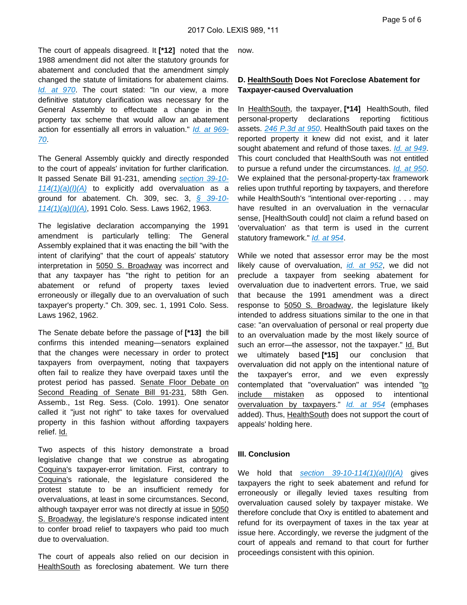The court of appeals disagreed. It **[\*12]** noted that the 1988 amendment did not alter the statutory grounds for abatement and concluded that the amendment simply changed the statute of limitations for abatement claims. [Id. at 970](https://advance.lexis.com/api/document?collection=cases&id=urn:contentItem:3RX4-2WT0-003D-904X-00000-00&context=). The court stated: "In our view, a more definitive statutory clarification was necessary for the General Assembly to effectuate a change in the property tax scheme that would allow an abatement action for essentially all errors in valuation." [Id. at 969-](https://advance.lexis.com/api/document?collection=cases&id=urn:contentItem:3RX4-2WT0-003D-904X-00000-00&context=) [70](https://advance.lexis.com/api/document?collection=cases&id=urn:contentItem:3RX4-2WT0-003D-904X-00000-00&context=).

The General Assembly quickly and directly responded to the court of appeals' invitation for further clarification. It passed Senate Bill 91-231, amending [section 39-10-](https://advance.lexis.com/api/document?collection=statutes-legislation&id=urn:contentItem:5PC1-8680-004D-10T8-00000-00&context=)  $114(1)(a)(I)(A)$  to explicitly add overvaluation as a ground for abatement. Ch. 309, sec. 3,  $\frac{6}{9}$  39-10- $114(1)(a)(I)(A)$ , 1991 Colo. Sess. Laws 1962, 1963.

The legislative declaration accompanying the 1991 amendment is particularly telling: The General Assembly explained that it was enacting the bill "with the intent of clarifying" that the court of appeals' statutory interpretation in 5050 S. Broadway was incorrect and that any taxpayer has "the right to petition for an abatement or refund of property taxes levied erroneously or illegally due to an overvaluation of such taxpayer's property." Ch. 309, sec. 1, 1991 Colo. Sess. Laws 1962, 1962.

The Senate debate before the passage of **[\*13]** the bill confirms this intended meaning—senators explained that the changes were necessary in order to protect taxpayers from overpayment, noting that taxpayers often fail to realize they have overpaid taxes until the protest period has passed. Senate Floor Debate on Second Reading of Senate Bill 91-231, 58th Gen. Assemb., 1st Reg. Sess. (Colo. 1991). One senator called it "just not right" to take taxes for overvalued property in this fashion without affording taxpayers relief. Id.

Two aspects of this history demonstrate a broad legislative change that we construe as abrogating Coquina's taxpayer-error limitation. First, contrary to Coquina's rationale, the legislature considered the protest statute to be an insufficient remedy for overvaluations, at least in some circumstances. Second, although taxpayer error was not directly at issue in 5050 S. Broadway, the legislature's response indicated intent to confer broad relief to taxpayers who paid too much due to overvaluation.

The court of appeals also relied on our decision in HealthSouth as foreclosing abatement. We turn there now.

### **D. HealthSouth Does Not Foreclose Abatement for Taxpayer-caused Overvaluation**

In HealthSouth, the taxpayer, **[\*14]** HealthSouth, filed personal-property declarations reporting fictitious assets. [246 P.3d at 950](https://advance.lexis.com/api/document?collection=cases&id=urn:contentItem:522S-JWW1-652G-H004-00000-00&context=). HealthSouth paid taxes on the reported property it knew did not exist, and it later sought abatement and refund of those taxes. [Id. at 949](https://advance.lexis.com/api/document?collection=cases&id=urn:contentItem:522S-JWW1-652G-H004-00000-00&context=). This court concluded that HealthSouth was not entitled to pursue a refund under the circumstances. [Id. at 950](https://advance.lexis.com/api/document?collection=cases&id=urn:contentItem:522S-JWW1-652G-H004-00000-00&context=). We explained that the personal-property-tax framework relies upon truthful reporting by taxpayers, and therefore while HealthSouth's "intentional over-reporting . . . may have resulted in an overvaluation in the vernacular sense, [HealthSouth could] not claim a refund based on 'overvaluation' as that term is used in the current statutory framework." [Id. at 954](https://advance.lexis.com/api/document?collection=cases&id=urn:contentItem:522S-JWW1-652G-H004-00000-00&context=).

While we noted that assessor error may be the most likely cause of overvaluation, *[id. at 952](https://advance.lexis.com/api/document?collection=cases&id=urn:contentItem:522S-JWW1-652G-H004-00000-00&context=)*, we did not preclude a taxpayer from seeking abatement for overvaluation due to inadvertent errors. True, we said that because the 1991 amendment was a direct response to 5050 S. Broadway, the legislature likely intended to address situations similar to the one in that case: "an overvaluation of personal or real property due to an overvaluation made by the most likely source of such an error—the assessor, not the taxpayer." Id. But we ultimately based **[\*15]** our conclusion that overvaluation did not apply on the intentional nature of the taxpayer's error, and we even expressly contemplated that "overvaluation" was intended "to include mistaken as opposed to intentional overvaluation by taxpayers." [Id. at 954](https://advance.lexis.com/api/document?collection=cases&id=urn:contentItem:522S-JWW1-652G-H004-00000-00&context=) (emphases added). Thus, HealthSouth does not support the court of appeals' holding here.

### **III. Conclusion**

We hold that section  $39-10-114(1)(a)(I)(A)$  gives taxpayers the right to seek abatement and refund for erroneously or illegally levied taxes resulting from overvaluation caused solely by taxpayer mistake. We therefore conclude that Oxy is entitled to abatement and refund for its overpayment of taxes in the tax year at issue here. Accordingly, we reverse the judgment of the court of appeals and remand to that court for further proceedings consistent with this opinion.